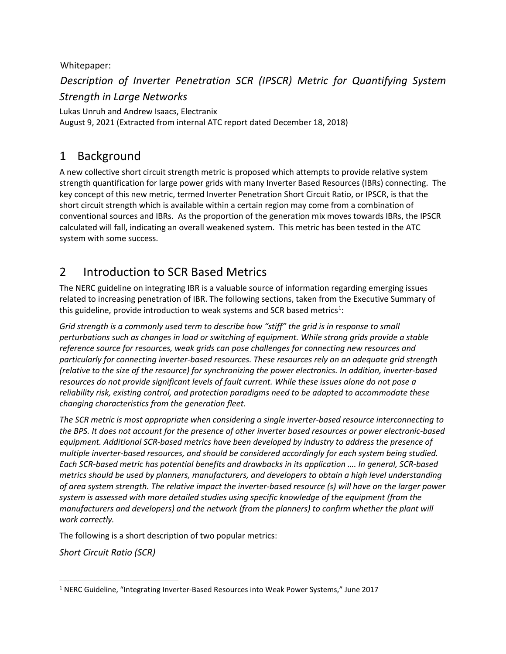Whitepaper:

*Description of Inverter Penetration SCR (IPSCR) Metric for Quantifying System* 

*Strength in Large Networks*

Lukas Unruh and Andrew Isaacs, Electranix August 9, 2021 (Extracted from internal ATC report dated December 18, 2018)

# 1 Background

A new collective short circuit strength metric is proposed which attempts to provide relative system strength quantification for large power grids with many Inverter Based Resources (IBRs) connecting. The key concept of this new metric, termed Inverter Penetration Short Circuit Ratio, or IPSCR, is that the short circuit strength which is available within a certain region may come from a combination of conventional sources and IBRs. As the proportion of the generation mix moves towards IBRs, the IPSCR calculated will fall, indicating an overall weakened system. This metric has been tested in the ATC system with some success.

# 2 Introduction to SCR Based Metrics

The NERC guideline on integrating IBR is a valuable source of information regarding emerging issues related to increasing penetration of IBR. The following sections, taken from the Executive Summary of this guideline, provide introduction to weak systems and SCR based metrics<sup>[1](#page-0-0)</sup>:

*Grid strength is a commonly used term to describe how "stiff" the grid is in response to small perturbations such as changes in load or switching of equipment. While strong grids provide a stable reference source for resources, weak grids can pose challenges for connecting new resources and particularly for connecting inverter-based resources. These resources rely on an adequate grid strength (relative to the size of the resource) for synchronizing the power electronics. In addition, inverter-based resources do not provide significant levels of fault current. While these issues alone do not pose a reliability risk, existing control, and protection paradigms need to be adapted to accommodate these changing characteristics from the generation fleet.*

*The SCR metric is most appropriate when considering a single inverter-based resource interconnecting to the BPS. It does not account for the presence of other inverter based resources or power electronic-based equipment. Additional SCR-based metrics have been developed by industry to address the presence of multiple inverter-based resources, and should be considered accordingly for each system being studied. Each SCR-based metric has potential benefits and drawbacks in its application …. In general, SCR-based metrics should be used by planners, manufacturers, and developers to obtain a high level understanding of area system strength. The relative impact the inverter-based resource (s) will have on the larger power system is assessed with more detailed studies using specific knowledge of the equipment (from the manufacturers and developers) and the network (from the planners) to confirm whether the plant will work correctly.*

The following is a short description of two popular metrics:

*Short Circuit Ratio (SCR)*

<span id="page-0-0"></span><sup>&</sup>lt;sup>1</sup> NERC Guideline, "Integrating Inverter-Based Resources into Weak Power Systems," June 2017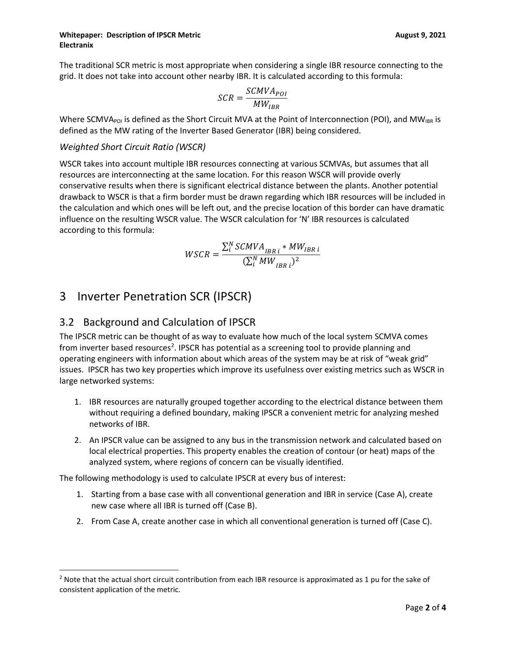#### **Whitepaper: Description of IPSCR Metric <b>August 9, 2021 August 9, 2021 Electranix**

The traditional SCR metric is most appropriate when considering a single IBR resource connecting to the grid. It does not take into account other nearby IBR. It is calculated according to this formula:

$$
SCR = \frac{SCMVA_{POI}}{MW_{IBR}}
$$

Where SCMVA<sub>POI</sub> is defined as the Short Circuit MVA at the Point of Interconnection (POI), and MW<sub>IBR</sub> is defined as the MW rating of the Inverter Based Generator (IBR) being considered.

### *Weighted Short Circuit Ratio (WSCR)*

WSCR takes into account multiple IBR resources connecting at various SCMVAs, but assumes that all resources are interconnecting at the same location. For this reason WSCR will provide overly conservative results when there is significant electrical distance between the plants. Another potential drawback to WSCR is that a firm border must be drawn regarding which IBR resources will be included in the calculation and which ones will be left out, and the precise location of this border can have dramatic influence on the resulting WSCR value. The WSCR calculation for 'N' IBR resources is calculated according to this formula:

$$
WSCR = \frac{\sum_{i}^{N}SCMVA_{IBR i} * MW_{IBR i}}{(\sum_{i}^{N} MW_{IBR i})^{2}}
$$

## 3 Inverter Penetration SCR (IPSCR)

## 3.2 Background and Calculation of IPSCR

The IPSCR metric can be thought of as way to evaluate how much of the local system SCMVA comes from inverter based resources<sup>[2](#page-1-0)</sup>. IPSCR has potential as a screening tool to provide planning and operating engineers with information about which areas of the system may be at risk of "weak grid" issues. IPSCR has two key properties which improve its usefulness over existing metrics such as WSCR in large networked systems:

- 1. IBR resources are naturally grouped together according to the electrical distance between them without requiring a defined boundary, making IPSCR a convenient metric for analyzing meshed networks of IBR.
- 2. An IPSCR value can be assigned to any bus in the transmission network and calculated based on local electrical properties. This property enables the creation of contour (or heat) maps of the analyzed system, where regions of concern can be visually identified.

The following methodology is used to calculate IPSCR at every bus of interest:

- 1. Starting from a base case with all conventional generation and IBR in service (Case A), create new case where all IBR is turned off (Case B).
- 2. From Case A, create another case in which all conventional generation is turned off (Case C).

<span id="page-1-0"></span><sup>&</sup>lt;sup>2</sup> Note that the actual short circuit contribution from each IBR resource is approximated as 1 pu for the sake of consistent application of the metric.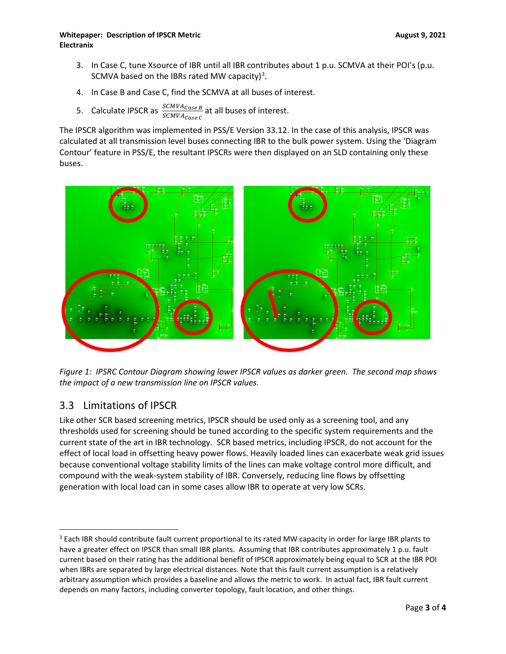### **Whitepaper: Description of IPSCR Metric August 9, 2021 Electranix**

- 3. In Case C, tune Xsource of IBR until all IBR contributes about 1 p.u. SCMVA at their POI's (p.u. SCMVA based on the IBRs rated MW capacity)<sup>[3](#page-2-0)</sup>.
- 4. In Case B and Case C, find the SCMVA at all buses of interest.
- 5. Calculate IPSCR as  $\frac{SCMVA_{CaseB}}{SCAVA_{CaseC}}$  at all buses of interest.

The IPSCR algorithm was implemented in PSS/E Version 33.12. In the case of this analysis, IPSCR was calculated at all transmission level buses connecting IBR to the bulk power system. Using the 'Diagram Contour' feature in PSS/E, the resultant IPSCRs were then displayed on an SLD containing only these buses.



*Figure 1: IPSRC Contour Diagram showing lower IPSCR values as darker green. The second map shows the impact of a new transmission line on IPSCR values.*

## 3.3 Limitations of IPSCR

Like other SCR based screening metrics, IPSCR should be used only as a screening tool, and any thresholds used for screening should be tuned according to the specific system requirements and the current state of the art in IBR technology. SCR based metrics, including IPSCR, do not account for the effect of local load in offsetting heavy power flows. Heavily loaded lines can exacerbate weak grid issues because conventional voltage stability limits of the lines can make voltage control more difficult, and compound with the weak-system stability of IBR. Conversely, reducing line flows by offsetting generation with local load can in some cases allow IBR to operate at very low SCRs.

<span id="page-2-0"></span><sup>&</sup>lt;sup>3</sup> Each IBR should contribute fault current proportional to its rated MW capacity in order for large IBR plants to have a greater effect on IPSCR than small IBR plants. Assuming that IBR contributes approximately 1 p.u. fault current based on their rating has the additional benefit of IPSCR approximately being equal to SCR at the IBR POI when IBRs are separated by large electrical distances. Note that this fault current assumption is a relatively arbitrary assumption which provides a baseline and allows the metric to work. In actual fact, IBR fault current depends on many factors, including converter topology, fault location, and other things.